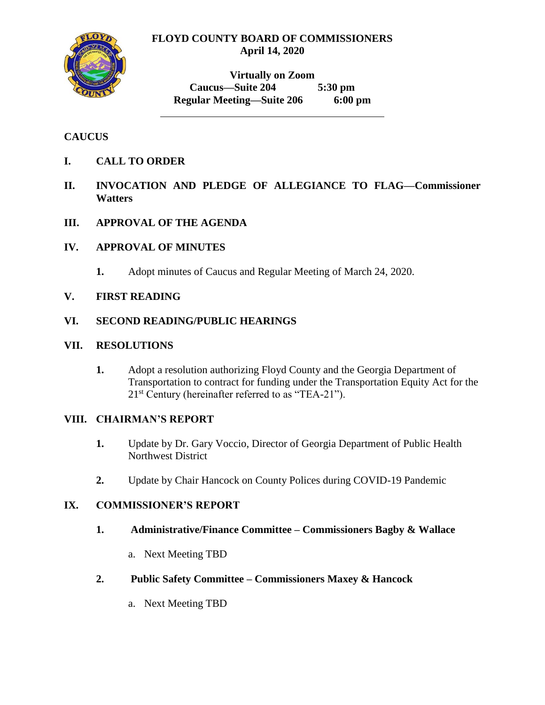## **FLOYD COUNTY BOARD OF COMMISSIONERS April 14, 2020**



**Virtually on Zoom Caucus—Suite 204 5:30 pm Regular Meeting—Suite 206 6:00 pm**

## **CAUCUS**

- **I. CALL TO ORDER**
- **II. INVOCATION AND PLEDGE OF ALLEGIANCE TO FLAG—Commissioner Watters**
- **III. APPROVAL OF THE AGENDA**

### **IV. APPROVAL OF MINUTES**

**1.** Adopt minutes of Caucus and Regular Meeting of March 24, 2020.

## **V. FIRST READING**

#### **VI. SECOND READING/PUBLIC HEARINGS**

#### **VII. RESOLUTIONS**

**1.** Adopt a resolution authorizing Floyd County and the Georgia Department of Transportation to contract for funding under the Transportation Equity Act for the  $21<sup>st</sup>$  Century (hereinafter referred to as "TEA-21").

#### **VIII. CHAIRMAN'S REPORT**

- **1.** Update by Dr. Gary Voccio, Director of Georgia Department of Public Health Northwest District
- **2.** Update by Chair Hancock on County Polices during COVID-19 Pandemic

### **IX. COMMISSIONER'S REPORT**

#### **1. Administrative/Finance Committee – Commissioners Bagby & Wallace**

a. Next Meeting TBD

#### **2. Public Safety Committee – Commissioners Maxey & Hancock**

a. Next Meeting TBD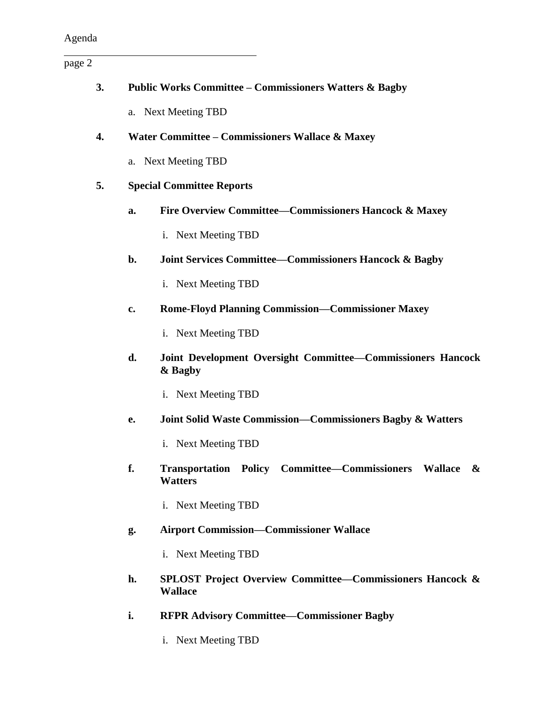page 2

| 3. |                                                 | <b>Public Works Committee – Commissioners Watters &amp; Bagby</b>                      |  |
|----|-------------------------------------------------|----------------------------------------------------------------------------------------|--|
|    |                                                 | a. Next Meeting TBD                                                                    |  |
| 4. | Water Committee – Commissioners Wallace & Maxey |                                                                                        |  |
|    |                                                 | a. Next Meeting TBD                                                                    |  |
| 5. |                                                 | <b>Special Committee Reports</b>                                                       |  |
|    | a.                                              | Fire Overview Committee-Commissioners Hancock & Maxey                                  |  |
|    |                                                 | i. Next Meeting TBD                                                                    |  |
|    | $b$ .                                           | <b>Joint Services Committee–Commissioners Hancock &amp; Bagby</b>                      |  |
|    |                                                 | i. Next Meeting TBD                                                                    |  |
|    | c.                                              | <b>Rome-Floyd Planning Commission-Commissioner Maxey</b>                               |  |
|    |                                                 | i. Next Meeting TBD                                                                    |  |
|    | d.                                              | Joint Development Oversight Committee-Commissioners Hancock<br>& Bagby                 |  |
|    |                                                 | i. Next Meeting TBD                                                                    |  |
|    | e.                                              | Joint Solid Waste Commission—Commissioners Bagby & Watters                             |  |
|    |                                                 | i. Next Meeting TBD                                                                    |  |
|    | f.                                              | Transportation Policy Committee–Commissioners Wallace &<br><b>Watters</b>              |  |
|    |                                                 | i. Next Meeting TBD                                                                    |  |
|    | g.                                              | <b>Airport Commission-Commissioner Wallace</b>                                         |  |
|    |                                                 | i. Next Meeting TBD                                                                    |  |
|    | h.                                              | <b>SPLOST Project Overview Committee–Commissioners Hancock &amp;</b><br><b>Wallace</b> |  |
|    | i.                                              | <b>RFPR Advisory Committee-Commissioner Bagby</b>                                      |  |

i. Next Meeting TBD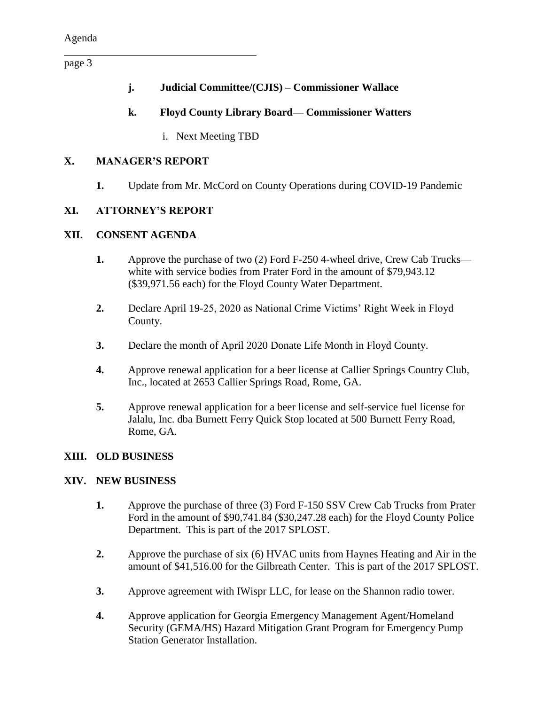page 3

- **j. Judicial Committee/(CJIS) – Commissioner Wallace**
- **k. Floyd County Library Board— Commissioner Watters** 
	- i. Next Meeting TBD

## **X. MANAGER'S REPORT**

**1.** Update from Mr. McCord on County Operations during COVID-19 Pandemic

## **XI. ATTORNEY'S REPORT**

## **XII. CONSENT AGENDA**

- **1.** Approve the purchase of two (2) Ford F-250 4-wheel drive, Crew Cab Trucks white with service bodies from Prater Ford in the amount of \$79,943.12 (\$39,971.56 each) for the Floyd County Water Department.
- **2.** Declare April 19-25, 2020 as National Crime Victims' Right Week in Floyd County.
- **3.** Declare the month of April 2020 Donate Life Month in Floyd County.
- **4.** Approve renewal application for a beer license at Callier Springs Country Club, Inc., located at 2653 Callier Springs Road, Rome, GA.
- **5.** Approve renewal application for a beer license and self-service fuel license for Jalalu, Inc. dba Burnett Ferry Quick Stop located at 500 Burnett Ferry Road, Rome, GA.

## **XIII. OLD BUSINESS**

## **XIV. NEW BUSINESS**

- **1.** Approve the purchase of three (3) Ford F-150 SSV Crew Cab Trucks from Prater Ford in the amount of \$90,741.84 (\$30,247.28 each) for the Floyd County Police Department. This is part of the 2017 SPLOST.
- **2.** Approve the purchase of six (6) HVAC units from Haynes Heating and Air in the amount of \$41,516.00 for the Gilbreath Center. This is part of the 2017 SPLOST.
- **3.** Approve agreement with IWispr LLC, for lease on the Shannon radio tower.
- **4.** Approve application for Georgia Emergency Management Agent/Homeland Security (GEMA/HS) Hazard Mitigation Grant Program for Emergency Pump Station Generator Installation.